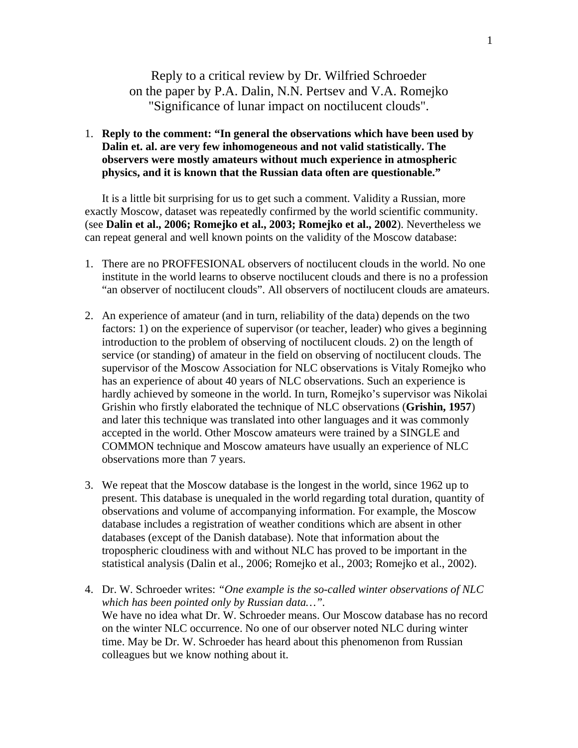Reply to a critical review by Dr. Wilfried Schroeder on the paper by P.A. Dalin, N.N. Pertsev and V.A. Romejko "Significance of lunar impact on noctilucent clouds".

1. **Reply to the comment: "In general the observations which have been used by Dalin et. al. are very few inhomogeneous and not valid statistically. The observers were mostly amateurs without much experience in atmospheric physics, and it is known that the Russian data often are questionable."**

It is a little bit surprising for us to get such a comment. Validity a Russian, more exactly Moscow, dataset was repeatedly confirmed by the world scientific community. (see **Dalin et al., 2006; Romejko et al., 2003; Romejko et al., 2002**). Nevertheless we can repeat general and well known points on the validity of the Moscow database:

- 1. There are no PROFFESIONAL observers of noctilucent clouds in the world. No one institute in the world learns to observe noctilucent clouds and there is no a profession "an observer of noctilucent clouds". All observers of noctilucent clouds are amateurs.
- 2. An experience of amateur (and in turn, reliability of the data) depends on the two factors: 1) on the experience of supervisor (or teacher, leader) who gives a beginning introduction to the problem of observing of noctilucent clouds. 2) on the length of service (or standing) of amateur in the field on observing of noctilucent clouds. The supervisor of the Moscow Association for NLC observations is Vitaly Romejko who has an experience of about 40 years of NLC observations. Such an experience is hardly achieved by someone in the world. In turn, Romejko's supervisor was Nikolai Grishin who firstly elaborated the technique of NLC observations (**Grishin, 1957**) and later this technique was translated into other languages and it was commonly accepted in the world. Other Moscow amateurs were trained by a SINGLE and COMMON technique and Moscow amateurs have usually an experience of NLC observations more than 7 years.
- 3. We repeat that the Moscow database is the longest in the world, since 1962 up to present. This database is unequaled in the world regarding total duration, quantity of observations and volume of accompanying information. For example, the Moscow database includes a registration of weather conditions which are absent in other databases (except of the Danish database). Note that information about the tropospheric cloudiness with and without NLC has proved to be important in the statistical analysis (Dalin et al., 2006; Romejko et al., 2003; Romejko et al., 2002).
- 4. Dr. W. Schroeder writes: *"One example is the so-called winter observations of NLC which has been pointed only by Russian data…".* We have no idea what Dr. W. Schroeder means. Our Moscow database has no record on the winter NLC occurrence. No one of our observer noted NLC during winter time. May be Dr. W. Schroeder has heard about this phenomenon from Russian colleagues but we know nothing about it.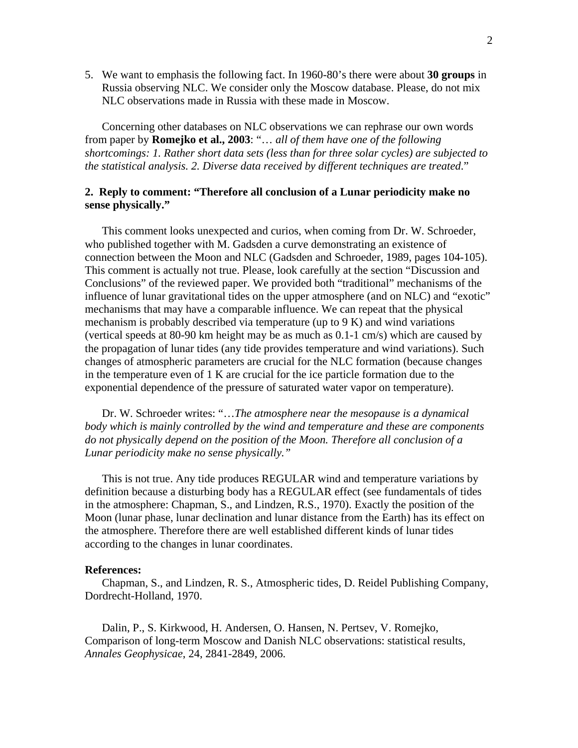5. We want to emphasis the following fact. In 1960-80's there were about **30 groups** in Russia observing NLC. We consider only the Moscow database. Please, do not mix NLC observations made in Russia with these made in Moscow.

Concerning other databases on NLC observations we can rephrase our own words from paper by **Romejko et al., 2003**: "… *all of them have one of the following shortcomings: 1. Rather short data sets (less than for three solar cycles) are subjected to the statistical analysis. 2. Diverse data received by different techniques are treated*."

## **2. Reply to comment: "Therefore all conclusion of a Lunar periodicity make no sense physically."**

This comment looks unexpected and curios, when coming from Dr. W. Schroeder, who published together with M. Gadsden a curve demonstrating an existence of connection between the Moon and NLC (Gadsden and Schroeder, 1989, pages 104-105). This comment is actually not true. Please, look carefully at the section "Discussion and Conclusions" of the reviewed paper. We provided both "traditional" mechanisms of the influence of lunar gravitational tides on the upper atmosphere (and on NLC) and "exotic" mechanisms that may have a comparable influence. We can repeat that the physical mechanism is probably described via temperature (up to 9 K) and wind variations (vertical speeds at 80-90 km height may be as much as 0.1-1 cm/s) which are caused by the propagation of lunar tides (any tide provides temperature and wind variations). Such changes of atmospheric parameters are crucial for the NLC formation (because changes in the temperature even of 1 K are crucial for the ice particle formation due to the exponential dependence of the pressure of saturated water vapor on temperature).

Dr. W. Schroeder writes: "…*The atmosphere near the mesopause is a dynamical body which is mainly controlled by the wind and temperature and these are components do not physically depend on the position of the Moon. Therefore all conclusion of a Lunar periodicity make no sense physically."*

This is not true. Any tide produces REGULAR wind and temperature variations by definition because a disturbing body has a REGULAR effect (see fundamentals of tides in the atmosphere: Chapman, S., and Lindzen, R.S., 1970). Exactly the position of the Moon (lunar phase, lunar declination and lunar distance from the Earth) has its effect on the atmosphere. Therefore there are well established different kinds of lunar tides according to the changes in lunar coordinates.

## **References:**

Chapman, S., and Lindzen, R. S., Atmospheric tides, D. Reidel Publishing Company, Dordrecht-Holland, 1970.

Dalin, P., S. Kirkwood, H. Andersen, O. Hansen, N. Pertsev, V. Romejko, Comparison of long-term Moscow and Danish NLC observations: statistical results, *Annales Geophysicae*, 24, 2841-2849, 2006.